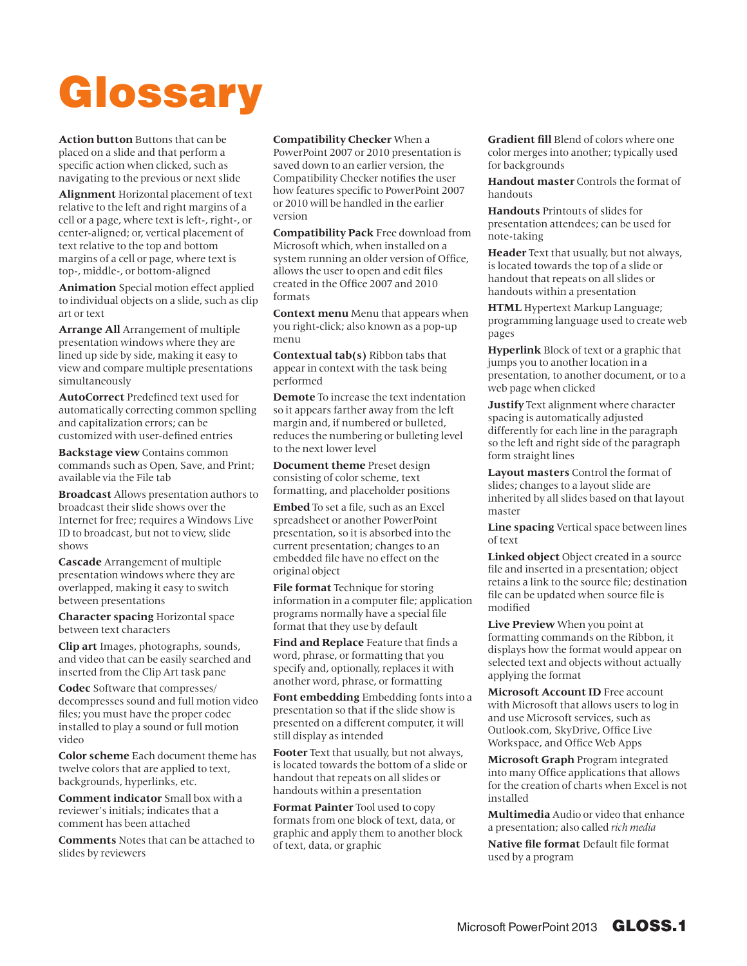## Glossary

**Action button** Buttons that can be placed on a slide and that perform a specific action when clicked, such as navigating to the previous or next slide

**Alignment** Horizontal placement of text relative to the left and right margins of a cell or a page, where text is left-, right-, or center-aligned; or, vertical placement of text relative to the top and bottom margins of a cell or page, where text is top-, middle-, or bottom-aligned

**Animation** Special motion effect applied to individual objects on a slide, such as clip art or text

**Arrange All** Arrangement of multiple presentation windows where they are lined up side by side, making it easy to view and compare multiple presentations simultaneously

**AutoCorrect** Predefined text used for automatically correcting common spelling and capitalization errors; can be customized with user-defined entries

**Backstage view** Contains common commands such as Open, Save, and Print; available via the File tab

**Broadcast** Allows presentation authors to broadcast their slide shows over the Internet for free; requires a Windows Live ID to broadcast, but not to view, slide shows

**Cascade** Arrangement of multiple presentation windows where they are overlapped, making it easy to switch between presentations

**Character spacing** Horizontal space between text characters

**Clip art** Images, photographs, sounds, and video that can be easily searched and inserted from the Clip Art task pane

**Codec** Software that compresses/ decompresses sound and full motion video files; you must have the proper codec installed to play a sound or full motion video

**Color scheme** Each document theme has twelve colors that are applied to text, backgrounds, hyperlinks, etc.

**Comment indicator** Small box with a reviewer's initials; indicates that a comment has been attached

**Comments** Notes that can be attached to slides by reviewers

## **Compatibility Checker** When a

PowerPoint 2007 or 2010 presentation is saved down to an earlier version, the Compatibility Checker notifies the user how features specific to PowerPoint 2007 or 2010 will be handled in the earlier version

**Compatibility Pack** Free download from Microsoft which, when installed on a system running an older version of Office, allows the user to open and edit files created in the Office 2007 and 2010 formats

**Context menu** Menu that appears when you right-click; also known as a pop-up menu

**Contextual tab(s)** Ribbon tabs that appear in context with the task being performed

**Demote** To increase the text indentation so it appears farther away from the left margin and, if numbered or bulleted, reduces the numbering or bulleting level to the next lower level

**Document theme** Preset design consisting of color scheme, text formatting, and placeholder positions

**Embed** To set a file, such as an Excel spreadsheet or another PowerPoint presentation, so it is absorbed into the current presentation; changes to an embedded file have no effect on the original object

**File format** Technique for storing information in a computer file; application programs normally have a special file format that they use by default

**Find and Replace** Feature that finds a word, phrase, or formatting that you specify and, optionally, replaces it with another word, phrase, or formatting

**Font embedding** Embedding fonts into a presentation so that if the slide show is presented on a different computer, it will still display as intended

**Footer** Text that usually, but not always, is located towards the bottom of a slide or handout that repeats on all slides or handouts within a presentation

**Format Painter** Tool used to copy formats from one block of text, data, or graphic and apply them to another block of text, data, or graphic

**Gradient fill** Blend of colors where one color merges into another; typically used for backgrounds

**Handout master** Controls the format of handouts

**Handouts** Printouts of slides for presentation attendees; can be used for note-taking

**Header** Text that usually, but not always, is located towards the top of a slide or handout that repeats on all slides or handouts within a presentation

**HTML** Hypertext Markup Language; programming language used to create web pages

**Hyperlink** Block of text or a graphic that jumps you to another location in a presentation, to another document, or to a web page when clicked

**Justify** Text alignment where character spacing is automatically adjusted differently for each line in the paragraph so the left and right side of the paragraph form straight lines

**Layout masters** Control the format of slides; changes to a layout slide are inherited by all slides based on that layout master

**Line spacing** Vertical space between lines of text

**Linked object** Object created in a source file and inserted in a presentation; object retains a link to the source file; destination file can be updated when source file is modified

**Live Preview** When you point at formatting commands on the Ribbon, it displays how the format would appear on selected text and objects without actually applying the format

**Microsoft Account ID** Free account with Microsoft that allows users to log in and use Microsoft services, such as Outlook.com, SkyDrive, Office Live Workspace, and Office Web Apps

**Microsoft Graph** Program integrated into many Office applications that allows for the creation of charts when Excel is not installed

**Multimedia** Audio or video that enhance a presentation; also called *rich media*

**Native file format** Default file format used by a program